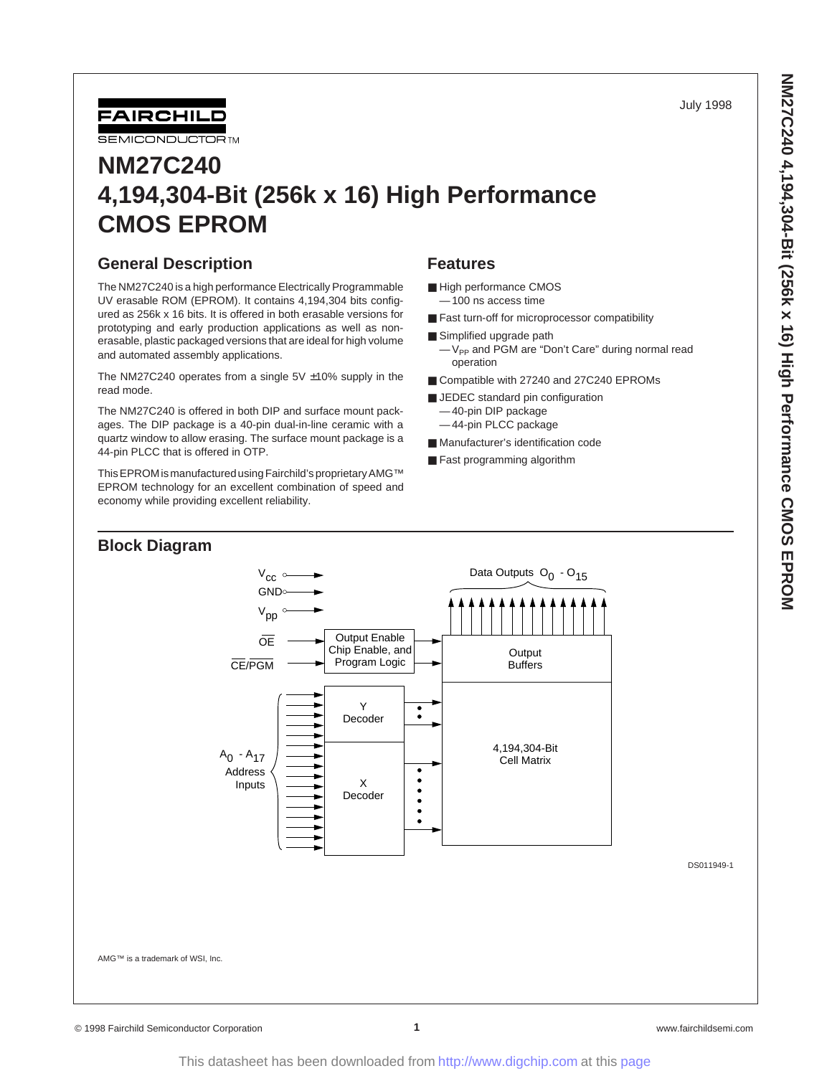July 1998



# **NM27C240 4,194,304-Bit (256k x 16) High Performance CMOS EPROM**

## **General Description**

The NM27C240 is a high performance Electrically Programmable UV erasable ROM (EPROM). It contains 4,194,304 bits configured as 256k x 16 bits. It is offered in both erasable versions for prototyping and early production applications as well as nonerasable, plastic packaged versions that are ideal for high volume and automated assembly applications.

The NM27C240 operates from a single  $5V \pm 10\%$  supply in the read mode.

The NM27C240 is offered in both DIP and surface mount packages. The DIP package is a 40-pin dual-in-line ceramic with a quartz window to allow erasing. The surface mount package is a 44-pin PLCC that is offered in OTP.

This EPROM is manufactured using Fairchild's proprietary AMG™ EPROM technology for an excellent combination of speed and economy while providing excellent reliability.

#### **Features**

- High performance CMOS — 100 ns access time
- Fast turn-off for microprocessor compatibility
- Simplified upgrade path -V<sub>PP</sub> and PGM are "Don't Care" during normal read operation
- Compatible with 27240 and 27C240 EPROMs
- JEDEC standard pin configuration — 40-pin DIP package — 44-pin PLCC package
- Manufacturer's identification code
- Fast programming algorithm

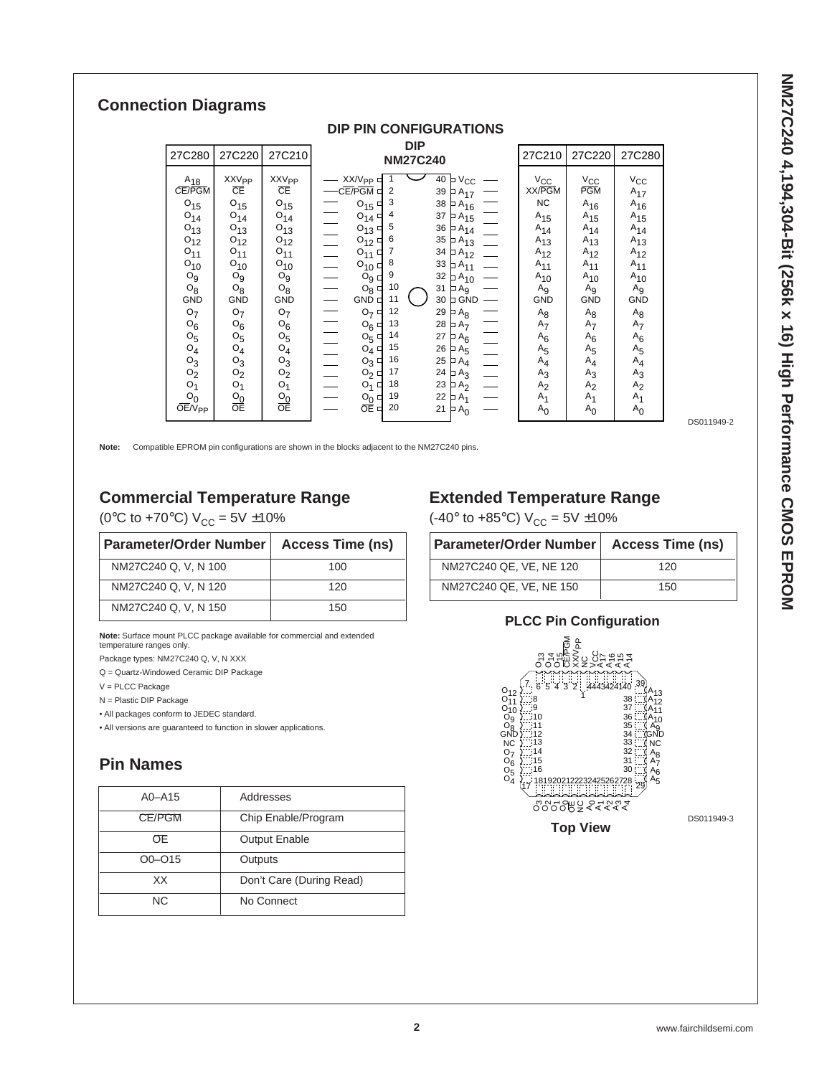## **Connection Diagrams**

| 27C280                                                                                                                                                                                                                                                                | 27C220                                                                                                                                                                                                                                                              | 27C210                                                                                                                                                                                                                                                     | <b>DIP</b><br><b>NM27C240</b>                                                                                                                                                                                                                                                                                                                                                                                                                                                                                                                                            |                                                                                                                                                                                                                                                                                                                                                                                                                                  | 27C210                                                                                                                                                                                                                                                    | 27C220                                                                                                                                                                                                                                                       | 27C280                                                                                                                                                                                                                                            |
|-----------------------------------------------------------------------------------------------------------------------------------------------------------------------------------------------------------------------------------------------------------------------|---------------------------------------------------------------------------------------------------------------------------------------------------------------------------------------------------------------------------------------------------------------------|------------------------------------------------------------------------------------------------------------------------------------------------------------------------------------------------------------------------------------------------------------|--------------------------------------------------------------------------------------------------------------------------------------------------------------------------------------------------------------------------------------------------------------------------------------------------------------------------------------------------------------------------------------------------------------------------------------------------------------------------------------------------------------------------------------------------------------------------|----------------------------------------------------------------------------------------------------------------------------------------------------------------------------------------------------------------------------------------------------------------------------------------------------------------------------------------------------------------------------------------------------------------------------------|-----------------------------------------------------------------------------------------------------------------------------------------------------------------------------------------------------------------------------------------------------------|--------------------------------------------------------------------------------------------------------------------------------------------------------------------------------------------------------------------------------------------------------------|---------------------------------------------------------------------------------------------------------------------------------------------------------------------------------------------------------------------------------------------------|
| $A_{18}$<br>CE/PGM<br>$O_{15}$<br>$O_{14}$<br>$O_{13}$<br>$O_{12}$<br>$O_{11}$<br>$O_{10}$<br>$O_g$<br>$O_8$<br><b>GND</b><br>O <sub>7</sub><br>$O_6$<br>O <sub>5</sub><br>$O_4$<br>$O_3$<br>O <sub>2</sub><br>O <sub>1</sub><br>O <sub>0</sub><br>OE/V <sub>PP</sub> | <b>XXV<sub>PP</sub></b><br>CΕ<br>$O_{15}$<br>$O_{14}$<br>$O_{13}$<br>$O_{12}$<br>$O_{11}$<br>$O_{10}$<br>O <sub>9</sub><br>$O_8$<br><b>GND</b><br>O <sub>7</sub><br>$O_6$<br>O <sub>5</sub><br>$O_4$<br>$O_3$<br>O <sub>2</sub><br>O <sub>1</sub><br>$rac{O_0}{OE}$ | <b>XXV<sub>PP</sub></b><br>CΕ<br>$O_{15}$<br>$O_{14}$<br>$O_{13}$<br>$O_{12}$<br>$O_{11}$<br>$O_{10}$<br>$O_g$<br>$O_8$<br><b>GND</b><br>O <sub>7</sub><br>$O_6$<br>O <sub>5</sub><br>$O_4$<br>$O_3$<br>O <sub>2</sub><br>O <sub>1</sub><br>$rac{O_0}{OE}$ | XX/V <sub>PP</sub><br>$40 \vert p$<br>CE/PGM □<br>$\overline{2}$<br>39<br>3<br>38<br>$O_{15}$<br>37<br>4<br>$O_{14}$<br>5<br>36<br>$O_{13}$<br>6<br>35<br>$O_{12}$<br>34<br>$O_{11}$<br>8<br>33<br>$O_{10}$<br>9<br>32<br>$O_9 \cup$<br>10<br>31<br>$O_8 \Box$<br>$\n  A9\n$<br>11<br>GND <sup>C</sup><br>30<br>12<br>$O_7$<br>29<br>13<br>28<br>$O_6 \Box$<br>$\mathsf{A}_{7}$<br>14<br>27<br>$O_5$<br>15<br>26<br>$O_4$<br>PA <sub>5</sub><br>16<br>25<br>$O_3$<br>17<br>24<br>$O_2$<br>Þ<br>18<br>23<br>$O_1$<br>Þ<br>19<br>$O_Q \Box$<br>22<br>Р<br>OĒ ⊏<br>20<br>21 | $V_{CC}$<br>$A_{17}$<br>$PA_{15}$<br>$\overline{\phantom{a}}$ $\overline{\phantom{a}}$ $\overline{\phantom{a}}$ $\overline{\phantom{a}}$ $\overline{\phantom{a}}$ $\overline{\phantom{a}}$<br>$A_{13}$<br>$A_{12}$<br>$A_{11}$<br>$A_{10}$<br>$\overline{P}$ GND<br>$\overline{\mathsf{P}}$ A <sub>8</sub><br>$\overline{P}$ A <sub>6</sub><br>$\mathsf{h}_{\mathsf{A}_4}$<br>$A_3$<br>A <sub>2</sub><br>A <sub>1</sub><br>$A_0$ | $V_{\rm CC}$<br>XX/PGM<br><b>NC</b><br>$A_{15}$<br>$A_{14}$<br>$A_{13}$<br>$A_{12}$<br>$A_{11}$<br>$A_{10}$<br>A <sub>9</sub><br><b>GND</b><br>$A_8$<br>$A_7$<br>$A_6$<br>$A_{5}$<br>$A_4$<br>$A_3$<br>A <sub>2</sub><br>A <sub>1</sub><br>A <sub>0</sub> | $V_{\rm CC}$<br><b>PGM</b><br>$A_{16}$<br>$A_{15}$<br>$A_{14}$<br>$A_{13}$<br>$A_{12}$<br>$A_{11}$<br>$A_{10}$<br>A <sub>9</sub><br><b>GND</b><br>$A_8$<br>A <sub>7</sub><br>$A_6$<br>$A_{5}$<br>$A_4$<br>$A_3$<br>A <sub>2</sub><br>$A_1$<br>A <sub>0</sub> | $V_{\rm CC}$<br>$A_{17}$<br>$A_{16}$<br>$A_{15}$<br>$A_{14}$<br>$A_{13}$<br>$A_{12}$<br>$A_{11}$<br>$A_{10}$<br>A <sub>9</sub><br><b>GND</b><br>$A_8$<br>$A_7$<br>$A_6$<br>$A_{5}$<br>$A_4$<br>$A_3$<br>A <sub>2</sub><br>$A_1$<br>A <sub>0</sub> |

**DIP PIN CONFIGURATIONS**

DS011949-2

**Note:** Compatible EPROM pin configurations are shown in the blocks adjacent to the NM27C240 pins.

## **Commercial Temperature Range**

(0°C to +70°C)  $V_{CC} = 5V \pm 10\%$ 

| Parameter/Order Number | <b>Access Time (ns)</b> |
|------------------------|-------------------------|
| NM27C240 Q. V. N 100   | 100                     |
| NM27C240 Q. V. N 120   | 120                     |
| NM27C240 Q. V. N 150   | 150                     |

**Note:** Surface mount PLCC package available for commercial and extended temperature ranges only.

Package types: NM27C240 Q, V, N XXX

Q = Quartz-Windowed Ceramic DIP Package

V = PLCC Package

N = Plastic DIP Package

• All packages conform to JEDEC standard.

• All versions are guaranteed to function in slower applications.

## **Pin Names**

| $A0 - A15$   | Addresses                |
|--------------|--------------------------|
| CE/PGM       | Chip Enable/Program      |
| OE.          | <b>Output Enable</b>     |
| $O_0 - O_15$ | Outputs                  |
| XX.          | Don't Care (During Read) |
| NC.          | No Connect               |

## **Extended Temperature Range**

(-40 $\degree$  to +85 $\degree$ C) V<sub>CC</sub> = 5V ±10%

| Parameter/Order Number   Access Time (ns) |     |
|-------------------------------------------|-----|
| NM27C240 QE, VE, NE 120                   | 120 |
| NM27C240 QE, VE, NE 150                   | 150 |



## **PLCC Pin Configuration**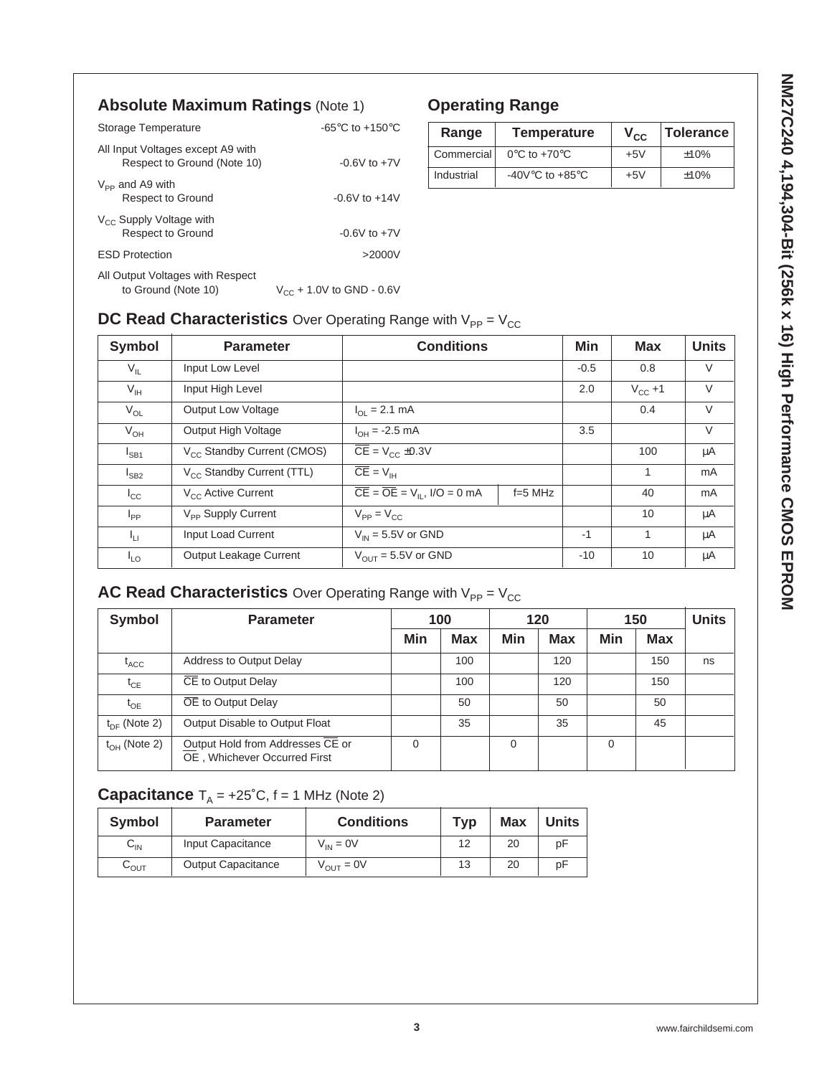## **Absolute Maximum Ratings** (Note 1)

| Storage Temperature                                              | -65 $\mathrm{^{\circ}C}$ to +150 $\mathrm{^{\circ}C}$ |
|------------------------------------------------------------------|-------------------------------------------------------|
| All Input Voltages except A9 with<br>Respect to Ground (Note 10) | $-0.6V$ to $+7V$                                      |
| $V_{\text{pp}}$ and A9 with<br><b>Respect to Ground</b>          | $-0.6V$ to $+14V$                                     |
| $V_{\rm CC}$ Supply Voltage with<br><b>Respect to Ground</b>     | $-0.6V$ to $+7V$                                      |
| <b>FSD Protection</b>                                            | >2000V                                                |
| All Output Voltages with Respect<br>to Ground (Note 10)          | $V_{\text{cc}}$ + 1.0V to GND - 0.6V                  |

## **Operating Range**

| Range      | <b>Temperature</b>                  | $V_{\rm CC}$ | <b>Tolerance</b> |
|------------|-------------------------------------|--------------|------------------|
| Commercial | $0^{\circ}$ C to +70 $^{\circ}$ C   | $+5V$        | ±10%             |
| Industrial | -40V $\degree$ C to +85 $\degree$ C | $+5V$        | ±10%             |

## **DC Read Characteristics** Over Operating Range with  $V_{PP} = V_{CC}$

| <b>Symbol</b>   | <b>Parameter</b>                       | <b>Conditions</b>                                            |           |        | <b>Max</b>   | <b>Units</b>   |
|-----------------|----------------------------------------|--------------------------------------------------------------|-----------|--------|--------------|----------------|
| $V_{IL}$        | Input Low Level                        |                                                              |           | $-0.5$ | 0.8          | $\vee$         |
| $V_{\text{IH}}$ | Input High Level                       |                                                              |           |        | $V_{CC} + 1$ | $\vee$         |
| $V_{OL}$        | <b>Output Low Voltage</b>              | $I_{\Omega}$ = 2.1 mA                                        |           |        | 0.4          | $\vee$         |
| $V_{OH}$        | Output High Voltage                    | $I_{OH} = -2.5$ mA                                           |           | 3.5    |              | $\vee$         |
| $I_{SB1}$       | V <sub>CC</sub> Standby Current (CMOS) | $\overline{CE}$ = V <sub>CC</sub> ±0.3V                      |           |        | 100          | μA             |
| $I_{SB2}$       | V <sub>CC</sub> Standby Current (TTL)  | $\overline{CE} = V_{\text{IH}}$                              |           |        | 1            | m <sub>A</sub> |
| $I_{\rm CC}$    | V <sub>CC</sub> Active Current         | $\overline{CE} = \overline{OE} = V_{\text{II}}$ , I/O = 0 mA | $f=5$ MHz |        | 40           | m <sub>A</sub> |
| $I_{PP}$        | V <sub>PP</sub> Supply Current         | $V_{PP} = V_{CC}$                                            |           |        | 10           | μA             |
| Ιų.             | Input Load Current                     | $V_{IN}$ = 5.5V or GND                                       |           | $-1$   | 1            | μA             |
| $I_{LO}$        | Output Leakage Current                 | $V_{OIII}$ = 5.5V or GND                                     |           | $-10$  | 10           | μA             |

# **AC Read Characteristics** Over Operating Range with V<sub>PP</sub> = V<sub>CC</sub>

| <b>Symbol</b>     | <b>Parameter</b>                                                 |          | 100        |          | 120        | 150      |            | <b>Units</b> |
|-------------------|------------------------------------------------------------------|----------|------------|----------|------------|----------|------------|--------------|
|                   |                                                                  | Min      | <b>Max</b> | Min      | <b>Max</b> | Min      | <b>Max</b> |              |
| $t_{ACC}$         | Address to Output Delay                                          |          | 100        |          | 120        |          | 150        | ns           |
| $t_{CE}$          | CE to Output Delay                                               |          | 100        |          | 120        |          | 150        |              |
| $t_{OE}$          | OE to Output Delay                                               |          | 50         |          | 50         |          | 50         |              |
| $t_{DE}$ (Note 2) | Output Disable to Output Float                                   |          | 35         |          | 35         |          | 45         |              |
| $t_{OH}$ (Note 2) | Output Hold from Addresses CE or<br>OE, Whichever Occurred First | $\Omega$ |            | $\Omega$ |            | $\Omega$ |            |              |

## **Capacitance**  $T_A = +25^\circ C$ ,  $f = 1$  MHz (Note 2)

| <b>Symbol</b> | <b>Parameter</b>          | <b>Conditions</b>     | Typ | <b>Max</b> | <b>Units</b> |
|---------------|---------------------------|-----------------------|-----|------------|--------------|
| ᅛ៲៷           | Input Capacitance         | $V_{IN} = 0V$         | 12  | 20         | рF           |
| ৸∩∪           | <b>Output Capacitance</b> | $V_{\text{OUT}} = 0V$ | 13  | 20         | рF           |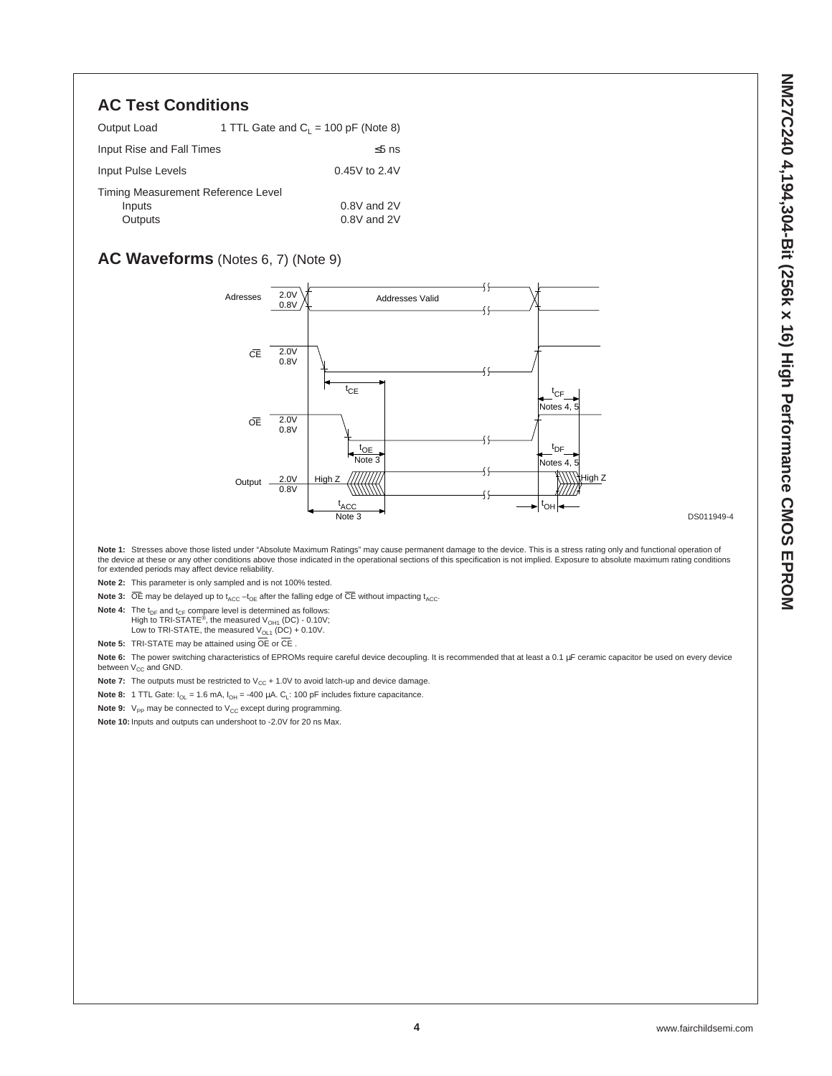## **AC Test Conditions**

| Output Load                        | 1 TTL Gate and $C_1 = 100$ pF (Note 8) |
|------------------------------------|----------------------------------------|
| Input Rise and Fall Times          | $\leq$ 5 ns                            |
| Input Pulse Levels                 | 0.45V to 2.4V                          |
| Timing Measurement Reference Level |                                        |
| Inputs                             | 0.8V and 2V                            |
| Outputs                            | 0.8V and 2V                            |

## **AC Waveforms** (Notes 6, 7) (Note 9)



Note 1: Stresses above those listed under "Absolute Maximum Ratings" may cause permanent damage to the device. This is a stress rating only and functional operation of the device at these or any other conditions above those indicated in the operational sections of this specification is not implied. Exposure to absolute maximum rating conditions for extended periods may affect device reliability.

**Note 2:** This parameter is only sampled and is not 100% tested.

**Note 3:**  $\overline{OE}$  may be delayed up to t<sub>ACC</sub> -t<sub>OE</sub> after the falling edge of  $\overline{CE}$  without impacting t<sub>ACC</sub>.

**Note 4:** The  $t_{DE}$  and  $t_{CE}$  compare level is determined as follows:

High to TRI-STATE<sup>®</sup>, the measured  $V_{OH1}$  (DC) - 0.10V; Low to TRI-STATE, the measured  $V_{OL1}$  (DC) + 0.10V.

**Note 5:** TRI-STATE may be attained using OE or CE .

Note 6: The power switching characteristics of EPROMs require careful device decoupling. It is recommended that at least a 0.1 µF ceramic capacitor be used on every device between  $V_{CC}$  and GND.

**Note 7:** The outputs must be restricted to  $V_{CC}$  + 1.0V to avoid latch-up and device damage.

**Note 8:** 1 TTL Gate:  $I_{OL} = 1.6$  mA,  $I_{OH} = -400 \mu A$ .  $C_L$ : 100 pF includes fixture capacitance.

**Note 9:** V<sub>PP</sub> may be connected to V<sub>CC</sub> except during programming.

**Note 10:** Inputs and outputs can undershoot to -2.0V for 20 ns Max.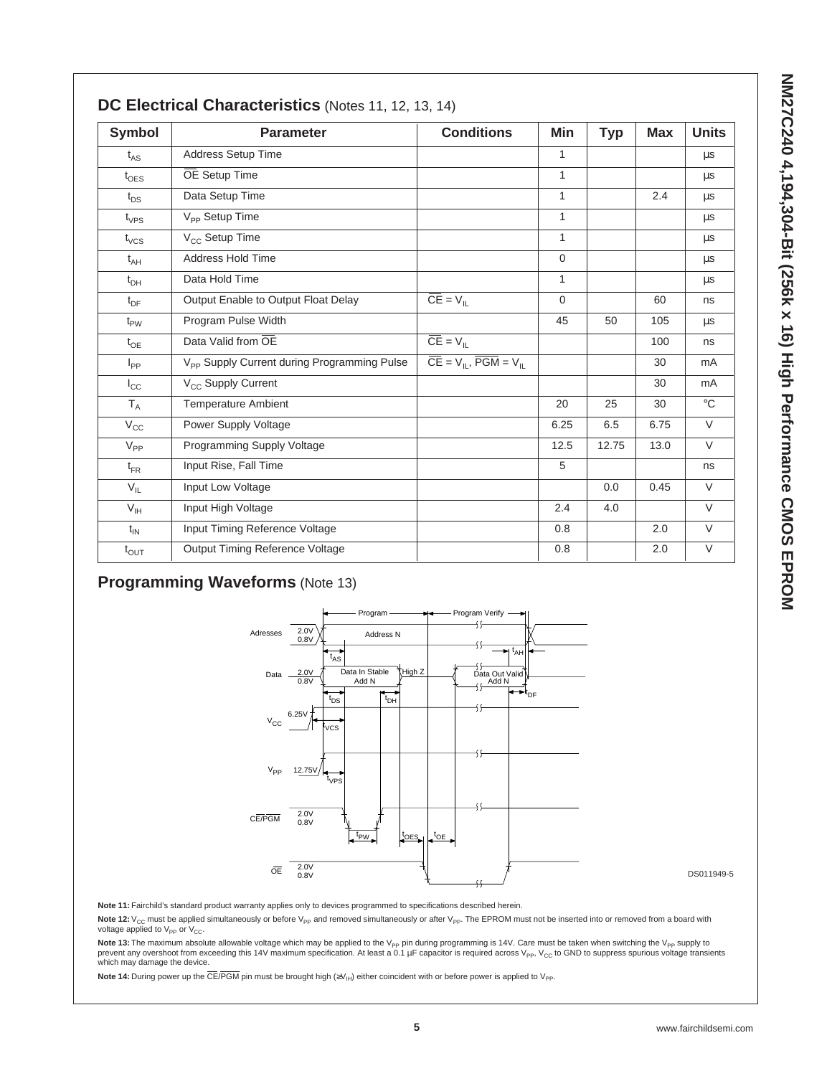| <b>Symbol</b>           | <b>Parameter</b>                                        | <b>Conditions</b>                                    | Min          | <b>Typ</b> | <b>Max</b> | <b>Units</b> |
|-------------------------|---------------------------------------------------------|------------------------------------------------------|--------------|------------|------------|--------------|
| $t_{AS}$                | <b>Address Setup Time</b>                               |                                                      | 1            |            |            | μs           |
| $t_{\text{OES}}$        | OE Setup Time                                           |                                                      | $\mathbf{1}$ |            |            | $\mu s$      |
| $t_{DS}$                | Data Setup Time                                         |                                                      | $\mathbf{1}$ |            | 2.4        | μs           |
| $t_{VPS}$               | V <sub>PP</sub> Setup Time                              |                                                      | $\mathbf{1}$ |            |            | $\mu s$      |
| $t_{VCS}$               | $V_{CC}$ Setup Time                                     |                                                      | 1            |            |            | $\mu s$      |
| $t_{AH}$                | Address Hold Time                                       |                                                      | $\mathbf 0$  |            |            | μs           |
| $t_{DH}$                | Data Hold Time                                          |                                                      | $\mathbf{1}$ |            |            | $\mu s$      |
| $t_{DF}$                | Output Enable to Output Float Delay                     | $\overline{\overline{\text{CE}}} = V_{\parallel L}$  | $\mathbf 0$  |            | 60         | ns           |
| $t_{PW}$                | Program Pulse Width                                     |                                                      | 45           | 50         | 105        | μs           |
| $t_{OE}$                | Data Valid from OE                                      | $\overline{CE} = V_{IL}$                             |              |            | 100        | ns           |
| $I_{PP}$                | V <sub>PP</sub> Supply Current during Programming Pulse | $\overline{CE} = V_{IL}$ , $\overline{PGM} = V_{IL}$ |              |            | 30         | mA           |
| $I_{\rm CC}$            | V <sub>CC</sub> Supply Current                          |                                                      |              |            | 30         | mA           |
| $\mathsf{T}_\mathsf{A}$ | <b>Temperature Ambient</b>                              |                                                      | 20           | 25         | 30         | $^{\circ}C$  |
| $V_{\rm CC}$            | Power Supply Voltage                                    |                                                      | 6.25         | 6.5        | 6.75       | $\vee$       |
| $V_{PP}$                | Programming Supply Voltage                              |                                                      | 12.5         | 12.75      | 13.0       | $\vee$       |
| $t_{FR}$                | Input Rise, Fall Time                                   |                                                      | 5            |            |            | ns           |
| $V_{IL}$                | Input Low Voltage                                       |                                                      |              | 0.0        | 0.45       | V            |
| V <sub>IH</sub>         | Input High Voltage                                      |                                                      | 2.4          | 4.0        |            | $\vee$       |
| $t_{IN}$                | Input Timing Reference Voltage                          |                                                      | 0.8          |            | 2.0        | $\vee$       |
| $t_{\text{OUT}}$        | Output Timing Reference Voltage                         |                                                      | 0.8          |            | 2.0        | V            |

### **Programming Waveforms** (Note 13)



DS011949-5

**Note 11:** Fairchild's standard product warranty applies only to devices programmed to specifications described herein.

Note 12: V<sub>CC</sub> must be applied simultaneously or before V<sub>PP</sub> and removed simultaneously or after V<sub>PP</sub>. The EPROM must not be inserted into or removed from a board with voltage applied to  $V_{PP}$  or  $V_{CC}$ .

Note 13: The maximum absolute allowable voltage which may be applied to the V<sub>PP</sub> pin during programming is 14V. Care must be taken when switching the V<sub>PP</sub> supply to prevent any overshoot from exceeding this 14V maximum specification. At least a 0.1  $\mu$ F capacitor is required across V<sub>PP</sub>, V<sub>CC</sub> to GND to suppress spurious voltage transients which may damage the device.

**Note 14:** During power up the CE/PGM pin must be brought high (≥V<sub>IH</sub>) either coincident with or before power is applied to V<sub>PP</sub>.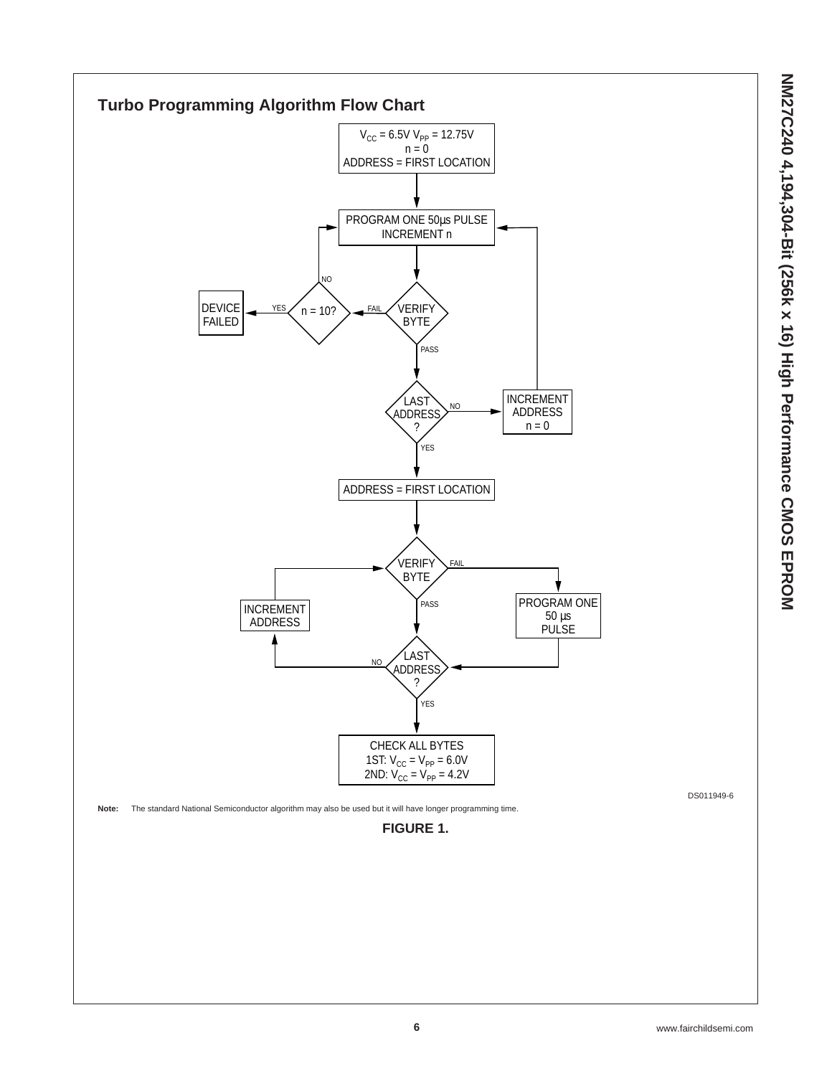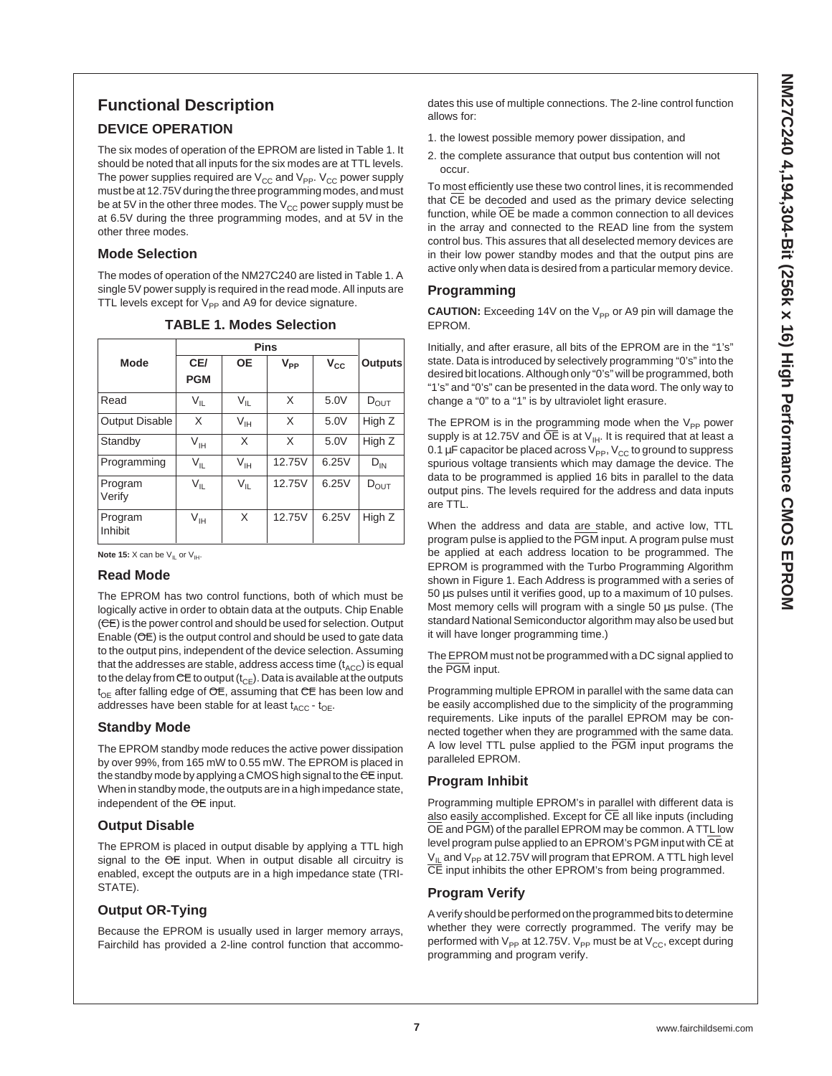## **Functional Description**

#### **DEVICE OPERATION**

The six modes of operation of the EPROM are listed in Table 1. It should be noted that all inputs for the six modes are at TTL levels. The power supplies required are  $V_{CC}$  and  $V_{PP}$ .  $V_{CC}$  power supply must be at 12.75V during the three programming modes, and must be at 5V in the other three modes. The  $V_{CC}$  power supply must be at 6.5V during the three programming modes, and at 5V in the other three modes.

#### **Mode Selection**

The modes of operation of the NM27C240 are listed in Table 1. A single 5V power supply is required in the read mode. All inputs are TTL levels except for  $V_{PP}$  and A9 for device signature.

| Mode                  | CE/<br><b>PGM</b> | <b>OE</b>       | $V_{PP}$ | $V_{\rm CC}$ | <b>Outputs</b>   |
|-----------------------|-------------------|-----------------|----------|--------------|------------------|
| Read                  | $V_{\parallel}$   | $V_{IL}$        | X        | 5.0V         | $D_{OUT}$        |
| <b>Output Disable</b> | X                 | $V_{IH}$        | X        | 5.0V         | High Z           |
| Standby               | $\vee_{\sf IH}$   | X               | X        | 5.0V         | High Z           |
| Programming           | $V_{IL}$          | $V_{\text{IH}}$ | 12.75V   | 6.25V        | $D_{IN}$         |
| Program<br>Verify     | $V_{IL}$          | $V_{IL}$        | 12.75V   | 6.25V        | $D_{\text{OUT}}$ |
| Program<br>Inhibit    | $V_{\vert H}$     | X               | 12.75V   | 6.25V        | High Z           |

**TABLE 1. Modes Selection**

**Note 15:**  $X$  can be  $V_{IL}$  or  $V_{IH}$ .

#### **Read Mode**

The EPROM has two control functions, both of which must be logically active in order to obtain data at the outputs. Chip Enable (CE) is the power control and should be used for selection. Output Enable (OE) is the output control and should be used to gate data to the output pins, independent of the device selection. Assuming that the addresses are stable, address access time  $(t_{ACC})$  is equal to the delay from  $\mathsf{CE}$  to output ( $\mathfrak{t}_{\mathsf{CE}}$ ). Data is available at the outputs  $t_{OF}$  after falling edge of  $OE$ , assuming that  $CE$  has been low and addresses have been stable for at least  $t_{\text{ACC}}$  -  $t_{\text{OE}}$ .

#### **Standby Mode**

The EPROM standby mode reduces the active power dissipation by over 99%, from 165 mW to 0.55 mW. The EPROM is placed in the standby mode by applying a CMOS high signal to the CE input. When in standby mode, the outputs are in a high impedance state, independent of the OE input.

#### **Output Disable**

The EPROM is placed in output disable by applying a TTL high signal to the OE input. When in output disable all circuitry is enabled, except the outputs are in a high impedance state (TRI-STATE).

#### **Output OR-Tying**

Because the EPROM is usually used in larger memory arrays, Fairchild has provided a 2-line control function that accommodates this use of multiple connections. The 2-line control function allows for:

- 1. the lowest possible memory power dissipation, and
- 2. the complete assurance that output bus contention will not occur.

To most efficiently use these two control lines, it is recommended that CE be decoded and used as the primary device selecting function, while OE be made a common connection to all devices in the array and connected to the READ line from the system control bus. This assures that all deselected memory devices are in their low power standby modes and that the output pins are active only when data is desired from a particular memory device.

#### **Programming**

**CAUTION:** Exceeding 14V on the V<sub>PP</sub> or A9 pin will damage the EPROM.

Initially, and after erasure, all bits of the EPROM are in the "1's" state. Data is introduced by selectively programming "0's" into the desired bit locations. Although only "0's" will be programmed, both "1's" and "0's" can be presented in the data word. The only way to change a "0" to a "1" is by ultraviolet light erasure.

The EPROM is in the programming mode when the  $V_{\text{pp}}$  power supply is at 12.75V and  $\overline{OE}$  is at  $V_{\text{H}}$ . It is required that at least a 0.1  $\mu$ F capacitor be placed across  $V_{PP}$ ,  $V_{CC}$  to ground to suppress spurious voltage transients which may damage the device. The data to be programmed is applied 16 bits in parallel to the data output pins. The levels required for the address and data inputs are TTL.

When the address and data are stable, and active low, TTL program pulse is applied to the PGM input. A program pulse must be applied at each address location to be programmed. The EPROM is programmed with the Turbo Programming Algorithm shown in Figure 1. Each Address is programmed with a series of 50 µs pulses until it verifies good, up to a maximum of 10 pulses. Most memory cells will program with a single 50  $\mu$ s pulse. (The standard National Semiconductor algorithm may also be used but it will have longer programming time.)

The EPROM must not be programmed with a DC signal applied to the PGM input.

Programming multiple EPROM in parallel with the same data can be easily accomplished due to the simplicity of the programming requirements. Like inputs of the parallel EPROM may be connected together when they are programmed with the same data. A low level TTL pulse applied to the PGM input programs the paralleled EPROM.

#### **Program Inhibit**

Programming multiple EPROM's in parallel with different data is also easily accomplished. Except for CE all like inputs (including OE and PGM) of the parallel EPROM may be common. A TTL low level program pulse applied to an EPROM's PGM input with CE at  $V_{II}$  and  $V_{PP}$  at 12.75V will program that EPROM. A TTL high level CE input inhibits the other EPROM's from being programmed.

#### **Program Verify**

A verify should be performed on the programmed bits to determine whether they were correctly programmed. The verify may be performed with  $V_{PP}$  at 12.75V.  $V_{PP}$  must be at  $V_{CC}$ , except during programming and program verify.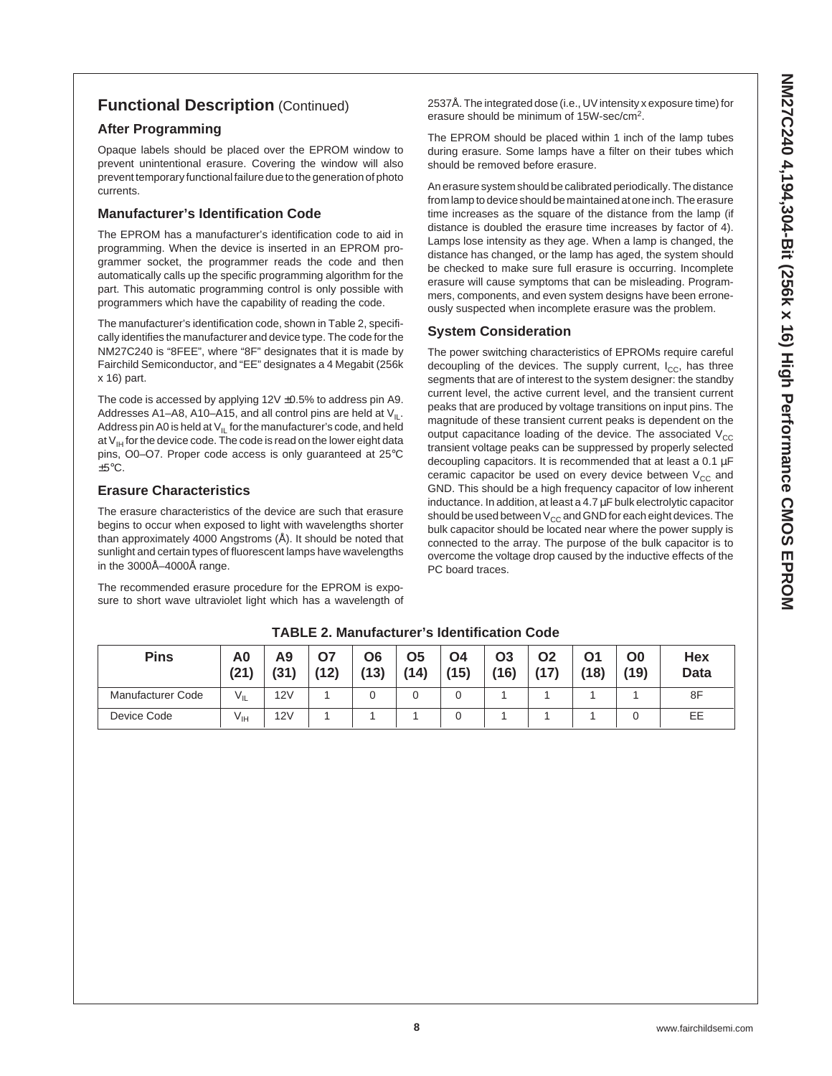## **Functional Description** (Continued)

#### **After Programming**

Opaque labels should be placed over the EPROM window to prevent unintentional erasure. Covering the window will also prevent temporary functional failure due to the generation of photo currents.

#### **Manufacturer's Identification Code**

The EPROM has a manufacturer's identification code to aid in programming. When the device is inserted in an EPROM programmer socket, the programmer reads the code and then automatically calls up the specific programming algorithm for the part. This automatic programming control is only possible with programmers which have the capability of reading the code.

The manufacturer's identification code, shown in Table 2, specifically identifies the manufacturer and device type. The code for the NM27C240 is "8FEE", where "8F" designates that it is made by Fairchild Semiconductor, and "EE" designates a 4 Megabit (256k x 16) part.

The code is accessed by applying  $12V \pm 0.5\%$  to address pin A9. Addresses A1–A8, A10–A15, and all control pins are held at  $V_{\text{II}}$ . Address pin A0 is held at  $V_{IL}$  for the manufacturer's code, and held at  $V_{\text{IH}}$  for the device code. The code is read on the lower eight data pins, O0–O7. Proper code access is only guaranteed at 25°C  $\pm 5^{\circ}$ C.

#### **Erasure Characteristics**

The erasure characteristics of the device are such that erasure begins to occur when exposed to light with wavelengths shorter than approximately 4000 Angstroms (Å). It should be noted that sunlight and certain types of fluorescent lamps have wavelengths in the 3000Å–4000Å range.

The recommended erasure procedure for the EPROM is exposure to short wave ultraviolet light which has a wavelength of 2537Å. The integrated dose (i.e., UV intensity x exposure time) for erasure should be minimum of 15W-sec/cm2.

The EPROM should be placed within 1 inch of the lamp tubes during erasure. Some lamps have a filter on their tubes which should be removed before erasure.

An erasure system should be calibrated periodically. The distance from lamp to device should be maintained at one inch. The erasure time increases as the square of the distance from the lamp (if distance is doubled the erasure time increases by factor of 4). Lamps lose intensity as they age. When a lamp is changed, the distance has changed, or the lamp has aged, the system should be checked to make sure full erasure is occurring. Incomplete erasure will cause symptoms that can be misleading. Programmers, components, and even system designs have been erroneously suspected when incomplete erasure was the problem.

#### **System Consideration**

The power switching characteristics of EPROMs require careful decoupling of the devices. The supply current,  $I_{CC}$ , has three segments that are of interest to the system designer: the standby current level, the active current level, and the transient current peaks that are produced by voltage transitions on input pins. The magnitude of these transient current peaks is dependent on the output capacitance loading of the device. The associated  $V_{CC}$ transient voltage peaks can be suppressed by properly selected decoupling capacitors. It is recommended that at least a  $0.1 \mu F$ ceramic capacitor be used on every device between  $V_{CC}$  and GND. This should be a high frequency capacitor of low inherent inductance. In addition, at least a 4.7 µF bulk electrolytic capacitor should be used between  $V_{CC}$  and GND for each eight devices. The bulk capacitor should be located near where the power supply is connected to the array. The purpose of the bulk capacitor is to overcome the voltage drop caused by the inductive effects of the PC board traces.

| <b>Pins</b>       | A0<br>(21)   | Α9<br>(31) | 07<br>(12) | Ο6<br>(13) | <b>O5</b><br>(14) | O <sub>4</sub><br>(15) | <b>O3</b><br>(16) | Ο2<br>(17) | 01<br>(18) | O0<br>(19) | Hex<br><b>Data</b> |
|-------------------|--------------|------------|------------|------------|-------------------|------------------------|-------------------|------------|------------|------------|--------------------|
| Manufacturer Code | $V_{IL}$     | 12V        |            |            |                   | 0                      |                   |            |            |            | 8F                 |
| Device Code       | $V_{\sf IH}$ | 12V        |            |            |                   | 0                      |                   |            |            |            | EE                 |

**TABLE 2. Manufacturer's Identification Code**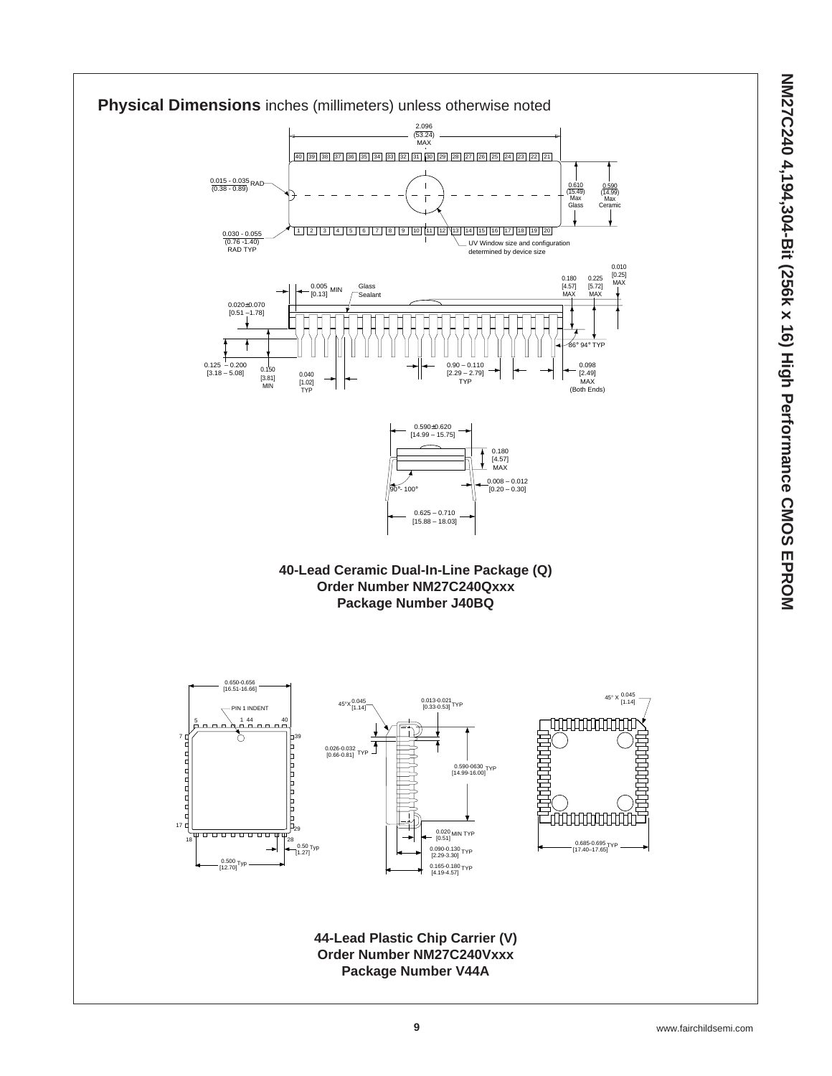